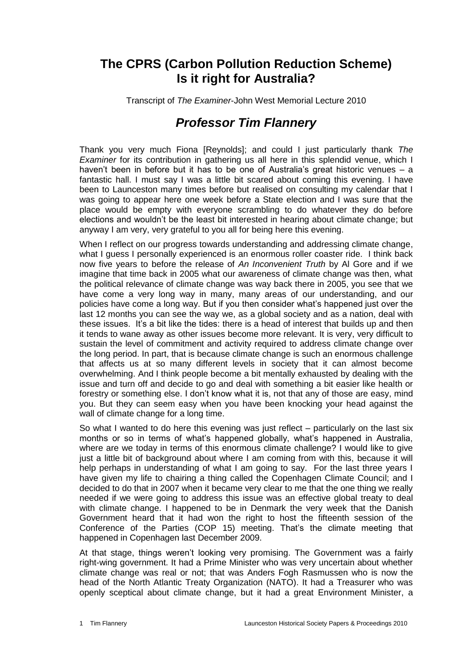## **The CPRS (Carbon Pollution Reduction Scheme) Is it right for Australia?**

Transcript of *The Examiner*-John West Memorial Lecture 2010

## *Professor Tim Flannery*

Thank you very much Fiona [Reynolds]; and could I just particularly thank *The Examiner* for its contribution in gathering us all here in this splendid venue, which I haven't been in before but it has to be one of Australia's great historic venues – a fantastic hall. I must say I was a little bit scared about coming this evening. I have been to Launceston many times before but realised on consulting my calendar that I was going to appear here one week before a State election and I was sure that the place would be empty with everyone scrambling to do whatever they do before elections and wouldn't be the least bit interested in hearing about climate change; but anyway I am very, very grateful to you all for being here this evening.

When I reflect on our progress towards understanding and addressing climate change, what I guess I personally experienced is an enormous roller coaster ride. I think back now five years to before the release of *An Inconvenient Truth* by Al Gore and if we imagine that time back in 2005 what our awareness of climate change was then, what the political relevance of climate change was way back there in 2005, you see that we have come a very long way in many, many areas of our understanding, and our policies have come a long way. But if you then consider what's happened just over the last 12 months you can see the way we, as a global society and as a nation, deal with these issues. It's a bit like the tides: there is a head of interest that builds up and then it tends to wane away as other issues become more relevant. It is very, very difficult to sustain the level of commitment and activity required to address climate change over the long period. In part, that is because climate change is such an enormous challenge that affects us at so many different levels in society that it can almost become overwhelming. And I think people become a bit mentally exhausted by dealing with the issue and turn off and decide to go and deal with something a bit easier like health or forestry or something else. I don't know what it is, not that any of those are easy, mind you. But they can seem easy when you have been knocking your head against the wall of climate change for a long time.

So what I wanted to do here this evening was just reflect – particularly on the last six months or so in terms of what's happened globally, what's happened in Australia, where are we today in terms of this enormous climate challenge? I would like to give just a little bit of background about where I am coming from with this, because it will help perhaps in understanding of what I am going to say. For the last three years I have given my life to chairing a thing called the Copenhagen Climate Council; and I decided to do that in 2007 when it became very clear to me that the one thing we really needed if we were going to address this issue was an effective global treaty to deal with climate change. I happened to be in Denmark the very week that the Danish Government heard that it had won the right to host the fifteenth session of the Conference of the Parties (COP 15) meeting. That's the climate meeting that happened in Copenhagen last December 2009.

At that stage, things weren't looking very promising. The Government was a fairly right-wing government. It had a Prime Minister who was very uncertain about whether climate change was real or not; that was Anders Fogh Rasmussen who is now the head of the North Atlantic Treaty Organization (NATO). It had a Treasurer who was openly sceptical about climate change, but it had a great Environment Minister, a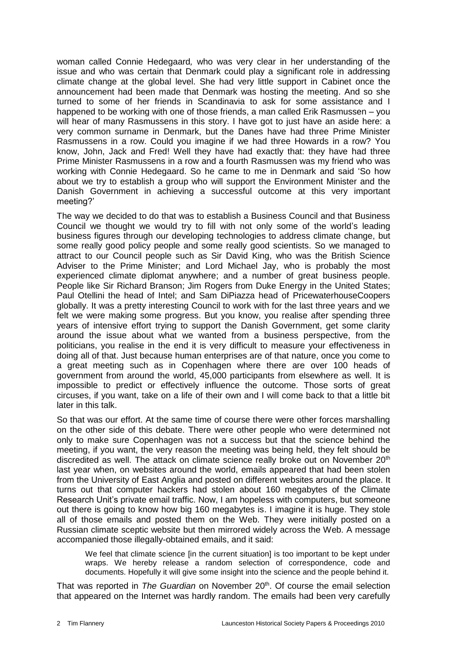woman called Connie Hedegaard*,* who was very clear in her understanding of the issue and who was certain that Denmark could play a significant role in addressing climate change at the global level. She had very little support in Cabinet once the announcement had been made that Denmark was hosting the meeting. And so she turned to some of her friends in Scandinavia to ask for some assistance and I happened to be working with one of those friends, a man called Erik Rasmussen – you will hear of many Rasmussens in this story. I have got to just have an aside here: a very common surname in Denmark, but the Danes have had three Prime Minister Rasmussens in a row. Could you imagine if we had three Howards in a row? You know, John, Jack and Fred! Well they have had exactly that: they have had three Prime Minister Rasmussens in a row and a fourth Rasmussen was my friend who was working with Connie Hedegaard. So he came to me in Denmark and said 'So how about we try to establish a group who will support the Environment Minister and the Danish Government in achieving a successful outcome at this very important meeting?'

The way we decided to do that was to establish a Business Council and that Business Council we thought we would try to fill with not only some of the world's leading business figures through our developing technologies to address climate change, but some really good policy people and some really good scientists. So we managed to attract to our Council people such as Sir David King, who was the British Science Adviser to the Prime Minister; and Lord Michael Jay, who is probably the most experienced climate diplomat anywhere; and a number of great business people. People like Sir Richard Branson; Jim Rogers from Duke Energy in the United States; Paul Otellini the head of Intel; and Sam DiPiazza head of PricewaterhouseCoopers globally. It was a pretty interesting Council to work with for the last three years and we felt we were making some progress. But you know, you realise after spending three years of intensive effort trying to support the Danish Government, get some clarity around the issue about what we wanted from a business perspective, from the politicians, you realise in the end it is very difficult to measure your effectiveness in doing all of that. Just because human enterprises are of that nature, once you come to a great meeting such as in Copenhagen where there are over 100 heads of government from around the world, 45,000 participants from elsewhere as well. It is impossible to predict or effectively influence the outcome. Those sorts of great circuses, if you want, take on a life of their own and I will come back to that a little bit later in this talk.

So that was our effort. At the same time of course there were other forces marshalling on the other side of this debate. There were other people who were determined not only to make sure Copenhagen was not a success but that the science behind the meeting, if you want, the very reason the meeting was being held, they felt should be discredited as well. The attack on climate science really broke out on November 20<sup>th</sup> last year when, on websites around the world, emails appeared that had been stolen from the University of East Anglia and posted on different websites around the place. It turns out that computer hackers had stolen about 160 megabytes of the Climate Research Unit's private email traffic. Now, I am hopeless with computers, but someone out there is going to know how big 160 megabytes is. I imagine it is huge. They stole all of those emails and posted them on the Web. They were initially posted on a Russian climate sceptic website but then mirrored widely across the Web. A message accompanied those illegally-obtained emails, and it said:

We feel that climate science [in the current situation] is too important to be kept under wraps. We hereby release a random selection of correspondence, code and documents. Hopefully it will give some insight into the science and the people behind it.

That was reported in *The Guardian* on November 20<sup>th</sup>. Of course the email selection that appeared on the Internet was hardly random. The emails had been very carefully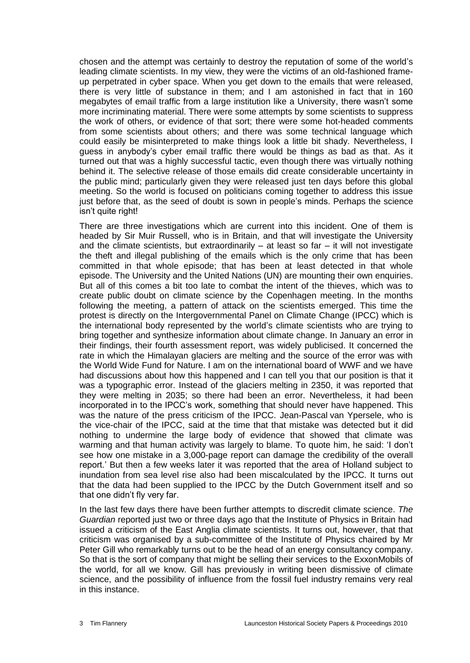chosen and the attempt was certainly to destroy the reputation of some of the world's leading climate scientists. In my view, they were the victims of an old-fashioned frameup perpetrated in cyber space. When you get down to the emails that were released, there is very little of substance in them; and I am astonished in fact that in 160 megabytes of email traffic from a large institution like a University, there wasn't some more incriminating material. There were some attempts by some scientists to suppress the work of others, or evidence of that sort; there were some hot-headed comments from some scientists about others; and there was some technical language which could easily be misinterpreted to make things look a little bit shady. Nevertheless, I guess in anybody's cyber email traffic there would be things as bad as that. As it turned out that was a highly successful tactic, even though there was virtually nothing behind it. The selective release of those emails did create considerable uncertainty in the public mind; particularly given they were released just ten days before this global meeting. So the world is focused on politicians coming together to address this issue just before that, as the seed of doubt is sown in people's minds. Perhaps the science isn't quite right!

There are three investigations which are current into this incident. One of them is headed by Sir Muir Russell, who is in Britain, and that will investigate the University and the climate scientists, but extraordinarily  $-$  at least so far  $-$  it will not investigate the theft and illegal publishing of the emails which is the only crime that has been committed in that whole episode; that has been at least detected in that whole episode. The University and the United Nations (UN) are mounting their own enquiries. But all of this comes a bit too late to combat the intent of the thieves, which was to create public doubt on climate science by the Copenhagen meeting. In the months following the meeting, a pattern of attack on the scientists emerged. This time the protest is directly on the Intergovernmental Panel on Climate Change (IPCC) which is the international body represented by the world's climate scientists who are trying to bring together and synthesize information about climate change. In January an error in their findings, their fourth assessment report, was widely publicised. It concerned the rate in which the Himalayan glaciers are melting and the source of the error was with the World Wide Fund for Nature. I am on the international board of WWF and we have had discussions about how this happened and I can tell you that our position is that it was a typographic error. Instead of the glaciers melting in 2350, it was reported that they were melting in 2035; so there had been an error. Nevertheless, it had been incorporated in to the IPCC's work, something that should never have happened. This was the nature of the press criticism of the IPCC. Jean-Pascal van Ypersele, who is the vice-chair of the IPCC, said at the time that that mistake was detected but it did nothing to undermine the large body of evidence that showed that climate was warming and that human activity was largely to blame. To quote him, he said: 'I don't see how one mistake in a 3,000-page report can damage the credibility of the overall report.' But then a few weeks later it was reported that the area of Holland subject to inundation from sea level rise also had been miscalculated by the IPCC. It turns out that the data had been supplied to the IPCC by the Dutch Government itself and so that one didn't fly very far.

In the last few days there have been further attempts to discredit climate science. *The Guardian* reported just two or three days ago that the Institute of Physics in Britain had issued a criticism of the East Anglia climate scientists. It turns out, however, that that criticism was organised by a sub-committee of the Institute of Physics chaired by Mr Peter Gill who remarkably turns out to be the head of an energy consultancy company. So that is the sort of company that might be selling their services to the ExxonMobils of the world, for all we know. Gill has previously in writing been dismissive of climate science, and the possibility of influence from the fossil fuel industry remains very real in this instance.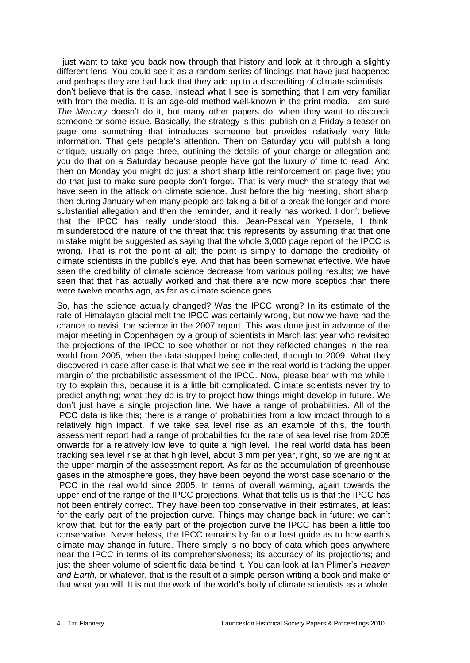I just want to take you back now through that history and look at it through a slightly different lens. You could see it as a random series of findings that have just happened and perhaps they are bad luck that they add up to a discrediting of climate scientists. I don't believe that is the case. Instead what I see is something that I am very familiar with from the media. It is an age-old method well-known in the print media. I am sure *The Mercury* doesn't do it, but many other papers do, when they want to discredit someone or some issue. Basically, the strategy is this: publish on a Friday a teaser on page one something that introduces someone but provides relatively very little information. That gets people's attention. Then on Saturday you will publish a long critique, usually on page three, outlining the details of your charge or allegation and you do that on a Saturday because people have got the luxury of time to read. And then on Monday you might do just a short sharp little reinforcement on page five; you do that just to make sure people don't forget. That is very much the strategy that we have seen in the attack on climate science. Just before the big meeting, short sharp, then during January when many people are taking a bit of a break the longer and more substantial allegation and then the reminder, and it really has worked. I don't believe that the IPCC has really understood this. Jean-Pascal van Ypersele, I think, misunderstood the nature of the threat that this represents by assuming that that one mistake might be suggested as saying that the whole 3,000 page report of the IPCC is wrong. That is not the point at all; the point is simply to damage the credibility of climate scientists in the public's eye. And that has been somewhat effective. We have seen the credibility of climate science decrease from various polling results; we have seen that that has actually worked and that there are now more sceptics than there were twelve months ago, as far as climate science goes.

So, has the science actually changed? Was the IPCC wrong? In its estimate of the rate of Himalayan glacial melt the IPCC was certainly wrong, but now we have had the chance to revisit the science in the 2007 report. This was done just in advance of the major meeting in Copenhagen by a group of scientists in March last year who revisited the projections of the IPCC to see whether or not they reflected changes in the real world from 2005, when the data stopped being collected, through to 2009. What they discovered in case after case is that what we see in the real world is tracking the upper margin of the probabilistic assessment of the IPCC. Now, please bear with me while I try to explain this, because it is a little bit complicated. Climate scientists never try to predict anything; what they do is try to project how things might develop in future. We don't just have a single projection line. We have a range of probabilities. All of the IPCC data is like this; there is a range of probabilities from a low impact through to a relatively high impact. If we take sea level rise as an example of this, the fourth assessment report had a range of probabilities for the rate of sea level rise from 2005 onwards for a relatively low level to quite a high level. The real world data has been tracking sea level rise at that high level, about 3 mm per year, right, so we are right at the upper margin of the assessment report. As far as the accumulation of greenhouse gases in the atmosphere goes, they have been beyond the worst case scenario of the IPCC in the real world since 2005. In terms of overall warming, again towards the upper end of the range of the IPCC projections. What that tells us is that the IPCC has not been entirely correct. They have been too conservative in their estimates, at least for the early part of the projection curve. Things may change back in future; we can't know that, but for the early part of the projection curve the IPCC has been a little too conservative. Nevertheless, the IPCC remains by far our best guide as to how earth's climate may change in future. There simply is no body of data which goes anywhere near the IPCC in terms of its comprehensiveness; its accuracy of its projections; and just the sheer volume of scientific data behind it. You can look at Ian Plimer's *Heaven and Earth,* or whatever, that is the result of a simple person writing a book and make of that what you will. It is not the work of the world's body of climate scientists as a whole,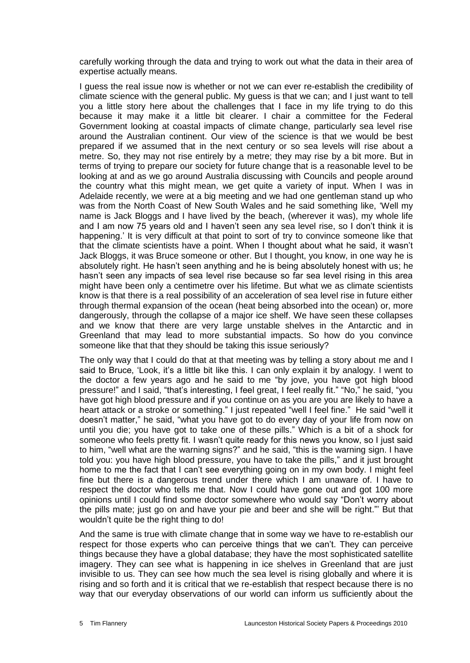carefully working through the data and trying to work out what the data in their area of expertise actually means.

I guess the real issue now is whether or not we can ever re-establish the credibility of climate science with the general public. My guess is that we can; and I just want to tell you a little story here about the challenges that I face in my life trying to do this because it may make it a little bit clearer. I chair a committee for the Federal Government looking at coastal impacts of climate change, particularly sea level rise around the Australian continent. Our view of the science is that we would be best prepared if we assumed that in the next century or so sea levels will rise about a metre. So, they may not rise entirely by a metre; they may rise by a bit more. But in terms of trying to prepare our society for future change that is a reasonable level to be looking at and as we go around Australia discussing with Councils and people around the country what this might mean, we get quite a variety of input. When I was in Adelaide recently, we were at a big meeting and we had one gentleman stand up who was from the North Coast of New South Wales and he said something like, 'Well my name is Jack Bloggs and I have lived by the beach, (wherever it was), my whole life and I am now 75 years old and I haven't seen any sea level rise, so I don't think it is happening.' It is very difficult at that point to sort of try to convince someone like that that the climate scientists have a point. When I thought about what he said, it wasn't Jack Bloggs, it was Bruce someone or other. But I thought, you know, in one way he is absolutely right. He hasn't seen anything and he is being absolutely honest with us; he hasn't seen any impacts of sea level rise because so far sea level rising in this area might have been only a centimetre over his lifetime. But what we as climate scientists know is that there is a real possibility of an acceleration of sea level rise in future either through thermal expansion of the ocean (heat being absorbed into the ocean) or, more dangerously, through the collapse of a major ice shelf. We have seen these collapses and we know that there are very large unstable shelves in the Antarctic and in Greenland that may lead to more substantial impacts. So how do you convince someone like that that they should be taking this issue seriously?

The only way that I could do that at that meeting was by telling a story about me and I said to Bruce, 'Look, it's a little bit like this. I can only explain it by analogy. I went to the doctor a few years ago and he said to me "by jove, you have got high blood pressure!" and I said, "that's interesting, I feel great, I feel really fit." "No," he said, "you have got high blood pressure and if you continue on as you are you are likely to have a heart attack or a stroke or something." I just repeated "well I feel fine." He said "well it doesn't matter," he said, "what you have got to do every day of your life from now on until you die; you have got to take one of these pills." Which is a bit of a shock for someone who feels pretty fit. I wasn't quite ready for this news you know, so I just said to him, "well what are the warning signs?" and he said, "this is the warning sign. I have told you: you have high blood pressure, you have to take the pills," and it just brought home to me the fact that I can't see everything going on in my own body. I might feel fine but there is a dangerous trend under there which I am unaware of. I have to respect the doctor who tells me that. Now I could have gone out and got 100 more opinions until I could find some doctor somewhere who would say "Don't worry about the pills mate; just go on and have your pie and beer and she will be right."' But that wouldn't quite be the right thing to do!

And the same is true with climate change that in some way we have to re-establish our respect for those experts who can perceive things that we can't. They can perceive things because they have a global database; they have the most sophisticated satellite imagery. They can see what is happening in ice shelves in Greenland that are just invisible to us. They can see how much the sea level is rising globally and where it is rising and so forth and it is critical that we re-establish that respect because there is no way that our everyday observations of our world can inform us sufficiently about the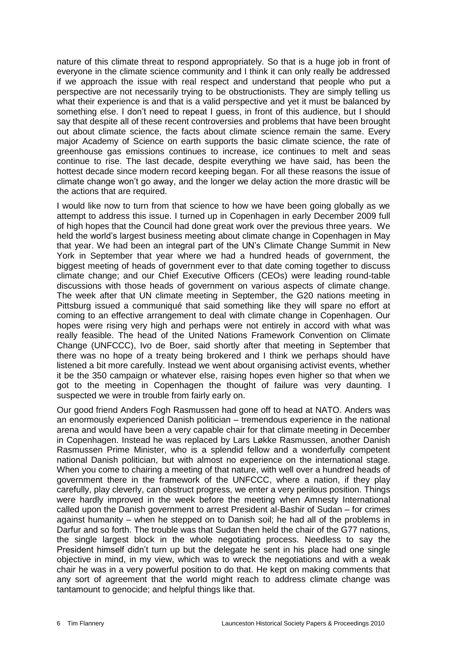nature of this climate threat to respond appropriately. So that is a huge job in front of everyone in the climate science community and I think it can only really be addressed if we approach the issue with real respect and understand that people who put a perspective are not necessarily trying to be obstructionists. They are simply telling us what their experience is and that is a valid perspective and yet it must be balanced by something else. I don't need to repeat I guess, in front of this audience, but I should say that despite all of these recent controversies and problems that have been brought out about climate science, the facts about climate science remain the same. Every major Academy of Science on earth supports the basic climate science, the rate of greenhouse gas emissions continues to increase, ice continues to melt and seas continue to rise. The last decade, despite everything we have said, has been the hottest decade since modern record keeping began. For all these reasons the issue of climate change won't go away, and the longer we delay action the more drastic will be the actions that are required.

I would like now to turn from that science to how we have been going globally as we attempt to address this issue. I turned up in Copenhagen in early December 2009 full of high hopes that the Council had done great work over the previous three years. We held the world's largest business meeting about climate change in Copenhagen in May that year. We had been an integral part of the UN's Climate Change Summit in New York in September that year where we had a hundred heads of government, the biggest meeting of heads of government ever to that date coming together to discuss climate change; and our Chief Executive Officers (CEOs) were leading round-table discussions with those heads of government on various aspects of climate change. The week after that UN climate meeting in September, the G20 nations meeting in Pittsburg issued a communiqué that said something like they will spare no effort at coming to an effective arrangement to deal with climate change in Copenhagen. Our hopes were rising very high and perhaps were not entirely in accord with what was really feasible. The head of the United Nations Framework Convention on Climate Change (UNFCCC), Ivo de Boer, said shortly after that meeting in September that there was no hope of a treaty being brokered and I think we perhaps should have listened a bit more carefully. Instead we went about organising activist events, whether it be the 350 campaign or whatever else, raising hopes even higher so that when we got to the meeting in Copenhagen the thought of failure was very daunting. I suspected we were in trouble from fairly early on.

Our good friend Anders Fogh Rasmussen had gone off to head at NATO. Anders was an enormously experienced Danish politician – tremendous experience in the national arena and would have been a very capable chair for that climate meeting in December in Copenhagen. Instead he was replaced by Lars Løkke Rasmussen, another Danish Rasmussen Prime Minister, who is a splendid fellow and a wonderfully competent national Danish politician, but with almost no experience on the international stage. When you come to chairing a meeting of that nature, with well over a hundred heads of government there in the framework of the UNFCCC, where a nation, if they play carefully, play cleverly, can obstruct progress, we enter a very perilous position. Things were hardly improved in the week before the meeting when Amnesty International called upon the Danish government to arrest President al-Bashir of Sudan – for crimes against humanity – when he stepped on to Danish soil; he had all of the problems in Darfur and so forth. The trouble was that Sudan then held the chair of the G77 nations, the single largest block in the whole negotiating process. Needless to say the President himself didn't turn up but the delegate he sent in his place had one single objective in mind, in my view, which was to wreck the negotiations and with a weak chair he was in a very powerful position to do that. He kept on making comments that any sort of agreement that the world might reach to address climate change was tantamount to genocide; and helpful things like that.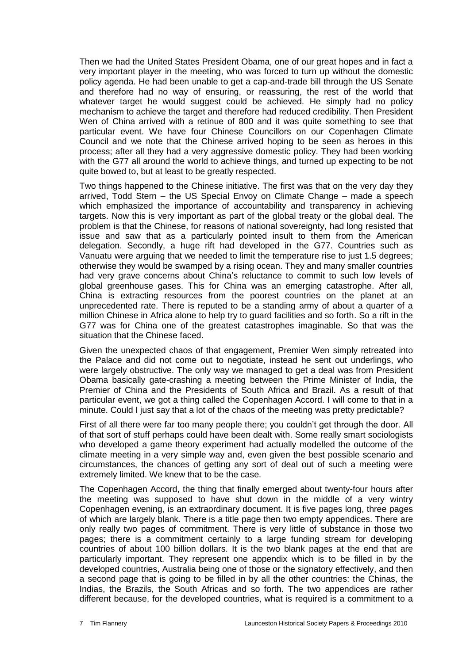Then we had the United States President Obama, one of our great hopes and in fact a very important player in the meeting, who was forced to turn up without the domestic policy agenda. He had been unable to get a cap-and-trade bill through the US Senate and therefore had no way of ensuring, or reassuring, the rest of the world that whatever target he would suggest could be achieved. He simply had no policy mechanism to achieve the target and therefore had reduced credibility. Then President Wen of China arrived with a retinue of 800 and it was quite something to see that particular event. We have four Chinese Councillors on our Copenhagen Climate Council and we note that the Chinese arrived hoping to be seen as heroes in this process; after all they had a very aggressive domestic policy. They had been working with the G77 all around the world to achieve things, and turned up expecting to be not quite bowed to, but at least to be greatly respected.

Two things happened to the Chinese initiative. The first was that on the very day they arrived, Todd Stern – the US Special Envoy on Climate Change – made a speech which emphasized the importance of accountability and transparency in achieving targets. Now this is very important as part of the global treaty or the global deal. The problem is that the Chinese, for reasons of national sovereignty, had long resisted that issue and saw that as a particularly pointed insult to them from the American delegation. Secondly, a huge rift had developed in the G77. Countries such as Vanuatu were arguing that we needed to limit the temperature rise to just 1.5 degrees; otherwise they would be swamped by a rising ocean. They and many smaller countries had very grave concerns about China's reluctance to commit to such low levels of global greenhouse gases. This for China was an emerging catastrophe. After all, China is extracting resources from the poorest countries on the planet at an unprecedented rate. There is reputed to be a standing army of about a quarter of a million Chinese in Africa alone to help try to guard facilities and so forth. So a rift in the G77 was for China one of the greatest catastrophes imaginable. So that was the situation that the Chinese faced.

Given the unexpected chaos of that engagement, Premier Wen simply retreated into the Palace and did not come out to negotiate, instead he sent out underlings, who were largely obstructive. The only way we managed to get a deal was from President Obama basically gate-crashing a meeting between the Prime Minister of India, the Premier of China and the Presidents of South Africa and Brazil. As a result of that particular event, we got a thing called the Copenhagen Accord. I will come to that in a minute. Could I just say that a lot of the chaos of the meeting was pretty predictable?

First of all there were far too many people there; you couldn't get through the door. All of that sort of stuff perhaps could have been dealt with. Some really smart sociologists who developed a game theory experiment had actually modelled the outcome of the climate meeting in a very simple way and, even given the best possible scenario and circumstances, the chances of getting any sort of deal out of such a meeting were extremely limited. We knew that to be the case.

The Copenhagen Accord, the thing that finally emerged about twenty-four hours after the meeting was supposed to have shut down in the middle of a very wintry Copenhagen evening, is an extraordinary document. It is five pages long, three pages of which are largely blank. There is a title page then two empty appendices. There are only really two pages of commitment. There is very little of substance in those two pages; there is a commitment certainly to a large funding stream for developing countries of about 100 billion dollars. It is the two blank pages at the end that are particularly important. They represent one appendix which is to be filled in by the developed countries, Australia being one of those or the signatory effectively, and then a second page that is going to be filled in by all the other countries: the Chinas, the Indias, the Brazils, the South Africas and so forth. The two appendices are rather different because, for the developed countries, what is required is a commitment to a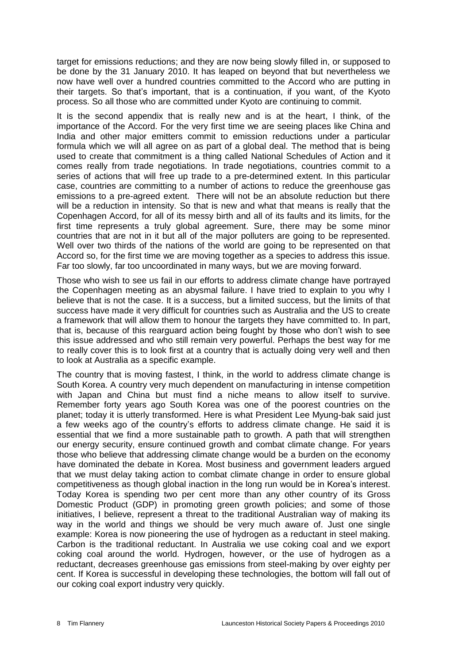target for emissions reductions; and they are now being slowly filled in, or supposed to be done by the 31 January 2010. It has leaped on beyond that but nevertheless we now have well over a hundred countries committed to the Accord who are putting in their targets. So that's important, that is a continuation, if you want, of the Kyoto process. So all those who are committed under Kyoto are continuing to commit.

It is the second appendix that is really new and is at the heart, I think, of the importance of the Accord. For the very first time we are seeing places like China and India and other major emitters commit to emission reductions under a particular formula which we will all agree on as part of a global deal. The method that is being used to create that commitment is a thing called National Schedules of Action and it comes really from trade negotiations. In trade negotiations, countries commit to a series of actions that will free up trade to a pre-determined extent. In this particular case, countries are committing to a number of actions to reduce the greenhouse gas emissions to a pre-agreed extent. There will not be an absolute reduction but there will be a reduction in intensity. So that is new and what that means is really that the Copenhagen Accord, for all of its messy birth and all of its faults and its limits, for the first time represents a truly global agreement. Sure, there may be some minor countries that are not in it but all of the major polluters are going to be represented. Well over two thirds of the nations of the world are going to be represented on that Accord so, for the first time we are moving together as a species to address this issue. Far too slowly, far too uncoordinated in many ways, but we are moving forward.

Those who wish to see us fail in our efforts to address climate change have portrayed the Copenhagen meeting as an abysmal failure. I have tried to explain to you why I believe that is not the case. It is a success, but a limited success, but the limits of that success have made it very difficult for countries such as Australia and the US to create a framework that will allow them to honour the targets they have committed to. In part, that is, because of this rearguard action being fought by those who don't wish to see this issue addressed and who still remain very powerful. Perhaps the best way for me to really cover this is to look first at a country that is actually doing very well and then to look at Australia as a specific example.

The country that is moving fastest, I think, in the world to address climate change is South Korea. A country very much dependent on manufacturing in intense competition with Japan and China but must find a niche means to allow itself to survive. Remember forty years ago South Korea was one of the poorest countries on the planet; today it is utterly transformed. Here is what President Lee Myung-bak said just a few weeks ago of the country's efforts to address climate change. He said it is essential that we find a more sustainable path to growth. A path that will strengthen our energy security, ensure continued growth and combat climate change. For years those who believe that addressing climate change would be a burden on the economy have dominated the debate in Korea. Most business and government leaders argued that we must delay taking action to combat climate change in order to ensure global competitiveness as though global inaction in the long run would be in Korea's interest. Today Korea is spending two per cent more than any other country of its Gross Domestic Product (GDP) in promoting green growth policies; and some of those initiatives, I believe, represent a threat to the traditional Australian way of making its way in the world and things we should be very much aware of. Just one single example: Korea is now pioneering the use of hydrogen as a reductant in steel making. Carbon is the traditional reductant. In Australia we use coking coal and we export coking coal around the world. Hydrogen, however, or the use of hydrogen as a reductant, decreases greenhouse gas emissions from steel-making by over eighty per cent. If Korea is successful in developing these technologies, the bottom will fall out of our coking coal export industry very quickly.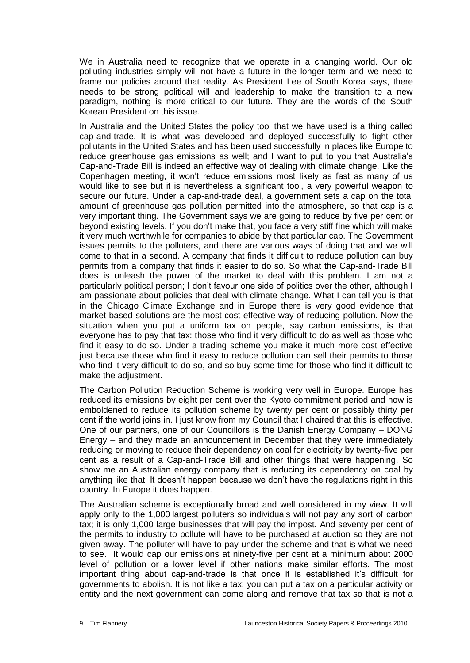We in Australia need to recognize that we operate in a changing world. Our old polluting industries simply will not have a future in the longer term and we need to frame our policies around that reality. As President Lee of South Korea says, there needs to be strong political will and leadership to make the transition to a new paradigm, nothing is more critical to our future. They are the words of the South Korean President on this issue.

In Australia and the United States the policy tool that we have used is a thing called cap-and-trade. It is what was developed and deployed successfully to fight other pollutants in the United States and has been used successfully in places like Europe to reduce greenhouse gas emissions as well; and I want to put to you that Australia's Cap-and-Trade Bill is indeed an effective way of dealing with climate change. Like the Copenhagen meeting, it won't reduce emissions most likely as fast as many of us would like to see but it is nevertheless a significant tool, a very powerful weapon to secure our future. Under a cap-and-trade deal, a government sets a cap on the total amount of greenhouse gas pollution permitted into the atmosphere, so that cap is a very important thing. The Government says we are going to reduce by five per cent or beyond existing levels. If you don't make that, you face a very stiff fine which will make it very much worthwhile for companies to abide by that particular cap. The Government issues permits to the polluters, and there are various ways of doing that and we will come to that in a second. A company that finds it difficult to reduce pollution can buy permits from a company that finds it easier to do so. So what the Cap-and-Trade Bill does is unleash the power of the market to deal with this problem. I am not a particularly political person; I don't favour one side of politics over the other, although I am passionate about policies that deal with climate change. What I can tell you is that in the Chicago Climate Exchange and in Europe there is very good evidence that market-based solutions are the most cost effective way of reducing pollution. Now the situation when you put a uniform tax on people, say carbon emissions, is that everyone has to pay that tax: those who find it very difficult to do as well as those who find it easy to do so. Under a trading scheme you make it much more cost effective just because those who find it easy to reduce pollution can sell their permits to those who find it very difficult to do so, and so buy some time for those who find it difficult to make the adiustment.

The Carbon Pollution Reduction Scheme is working very well in Europe. Europe has reduced its emissions by eight per cent over the Kyoto commitment period and now is emboldened to reduce its pollution scheme by twenty per cent or possibly thirty per cent if the world joins in. I just know from my Council that I chaired that this is effective. One of our partners, one of our Councillors is the Danish Energy Company – DONG Energy – and they made an announcement in December that they were immediately reducing or moving to reduce their dependency on coal for electricity by twenty-five per cent as a result of a Cap-and-Trade Bill and other things that were happening. So show me an Australian energy company that is reducing its dependency on coal by anything like that. It doesn't happen because we don't have the regulations right in this country. In Europe it does happen.

The Australian scheme is exceptionally broad and well considered in my view. It will apply only to the 1,000 largest polluters so individuals will not pay any sort of carbon tax; it is only 1,000 large businesses that will pay the impost. And seventy per cent of the permits to industry to pollute will have to be purchased at auction so they are not given away. The polluter will have to pay under the scheme and that is what we need to see. It would cap our emissions at ninety-five per cent at a minimum about 2000 level of pollution or a lower level if other nations make similar efforts. The most important thing about cap-and-trade is that once it is established it's difficult for governments to abolish. It is not like a tax; you can put a tax on a particular activity or entity and the next government can come along and remove that tax so that is not a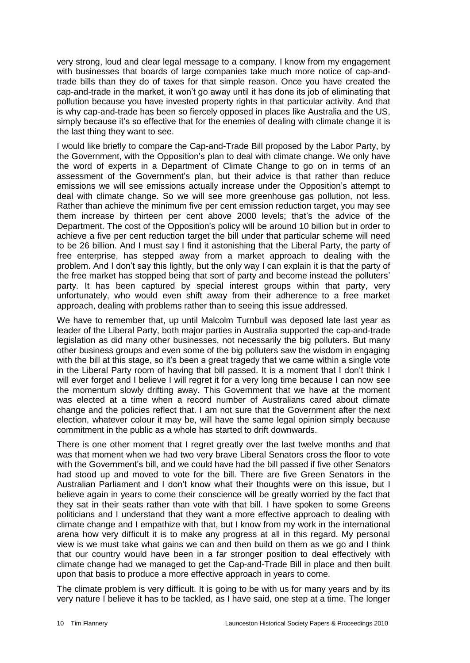very strong, loud and clear legal message to a company. I know from my engagement with businesses that boards of large companies take much more notice of cap-andtrade bills than they do of taxes for that simple reason. Once you have created the cap-and-trade in the market, it won't go away until it has done its job of eliminating that pollution because you have invested property rights in that particular activity. And that is why cap-and-trade has been so fiercely opposed in places like Australia and the US, simply because it's so effective that for the enemies of dealing with climate change it is the last thing they want to see.

I would like briefly to compare the Cap-and-Trade Bill proposed by the Labor Party, by the Government, with the Opposition's plan to deal with climate change. We only have the word of experts in a Department of Climate Change to go on in terms of an assessment of the Government's plan, but their advice is that rather than reduce emissions we will see emissions actually increase under the Opposition's attempt to deal with climate change. So we will see more greenhouse gas pollution, not less. Rather than achieve the minimum five per cent emission reduction target, you may see them increase by thirteen per cent above 2000 levels; that's the advice of the Department. The cost of the Opposition's policy will be around 10 billion but in order to achieve a five per cent reduction target the bill under that particular scheme will need to be 26 billion. And I must say I find it astonishing that the Liberal Party, the party of free enterprise, has stepped away from a market approach to dealing with the problem. And I don't say this lightly, but the only way I can explain it is that the party of the free market has stopped being that sort of party and become instead the polluters' party. It has been captured by special interest groups within that party, very unfortunately, who would even shift away from their adherence to a free market approach, dealing with problems rather than to seeing this issue addressed.

We have to remember that, up until Malcolm Turnbull was deposed late last year as leader of the Liberal Party, both major parties in Australia supported the cap-and-trade legislation as did many other businesses, not necessarily the big polluters. But many other business groups and even some of the big polluters saw the wisdom in engaging with the bill at this stage, so it's been a great tragedy that we came within a single vote in the Liberal Party room of having that bill passed. It is a moment that I don't think I will ever forget and I believe I will regret it for a very long time because I can now see the momentum slowly drifting away. This Government that we have at the moment was elected at a time when a record number of Australians cared about climate change and the policies reflect that. I am not sure that the Government after the next election, whatever colour it may be, will have the same legal opinion simply because commitment in the public as a whole has started to drift downwards.

There is one other moment that I regret greatly over the last twelve months and that was that moment when we had two very brave Liberal Senators cross the floor to vote with the Government's bill, and we could have had the bill passed if five other Senators had stood up and moved to vote for the bill. There are five Green Senators in the Australian Parliament and I don't know what their thoughts were on this issue, but I believe again in years to come their conscience will be greatly worried by the fact that they sat in their seats rather than vote with that bill. I have spoken to some Greens politicians and I understand that they want a more effective approach to dealing with climate change and I empathize with that, but I know from my work in the international arena how very difficult it is to make any progress at all in this regard. My personal view is we must take what gains we can and then build on them as we go and I think that our country would have been in a far stronger position to deal effectively with climate change had we managed to get the Cap-and-Trade Bill in place and then built upon that basis to produce a more effective approach in years to come.

The climate problem is very difficult. It is going to be with us for many years and by its very nature I believe it has to be tackled, as I have said, one step at a time. The longer